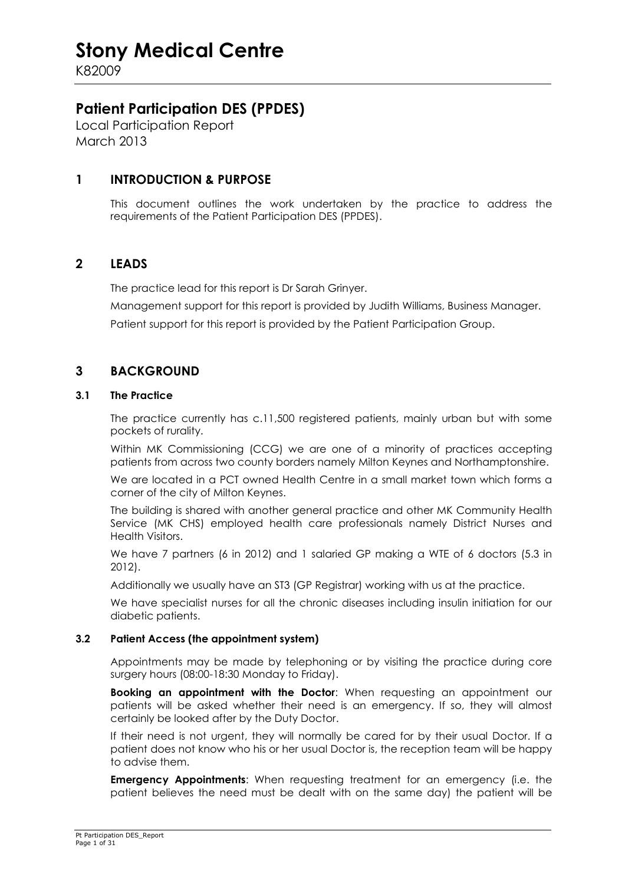K82009

### **Patient Participation DES (PPDES)**

Local Participation Report March 2013

#### **1 INTRODUCTION & PURPOSE**

 This document outlines the work undertaken by the practice to address the requirements of the Patient Participation DES (PPDES).

#### **2 LEADS**

The practice lead for this report is Dr Sarah Grinyer.

Management support for this report is provided by Judith Williams, Business Manager.

Patient support for this report is provided by the Patient Participation Group.

#### **3 BACKGROUND**

#### **3.1 The Practice**

 The practice currently has c.11,500 registered patients, mainly urban but with some pockets of rurality.

Within MK Commissioning (CCG) we are one of a minority of practices accepting patients from across two county borders namely Milton Keynes and Northamptonshire.

We are located in a PCT owned Health Centre in a small market town which forms a corner of the city of Milton Keynes.

The building is shared with another general practice and other MK Community Health Service (MK CHS) employed health care professionals namely District Nurses and Health Visitors.

We have 7 partners (6 in 2012) and 1 salaried GP making a WTE of 6 doctors (5.3 in 2012).

Additionally we usually have an ST3 (GP Registrar) working with us at the practice.

We have specialist nurses for all the chronic diseases including insulin initiation for our diabetic patients.

#### **3.2 Patient Access (the appointment system)**

 Appointments may be made by telephoning or by visiting the practice during core surgery hours (08:00-18:30 Monday to Friday).

**Booking an appointment with the Doctor**: When requesting an appointment our patients will be asked whether their need is an emergency. If so, they will almost certainly be looked after by the Duty Doctor.

If their need is not urgent, they will normally be cared for by their usual Doctor. If a patient does not know who his or her usual Doctor is, the reception team will be happy to advise them.

**Emergency Appointments:** When requesting treatment for an emergency (i.e. the patient believes the need must be dealt with on the same day) the patient will be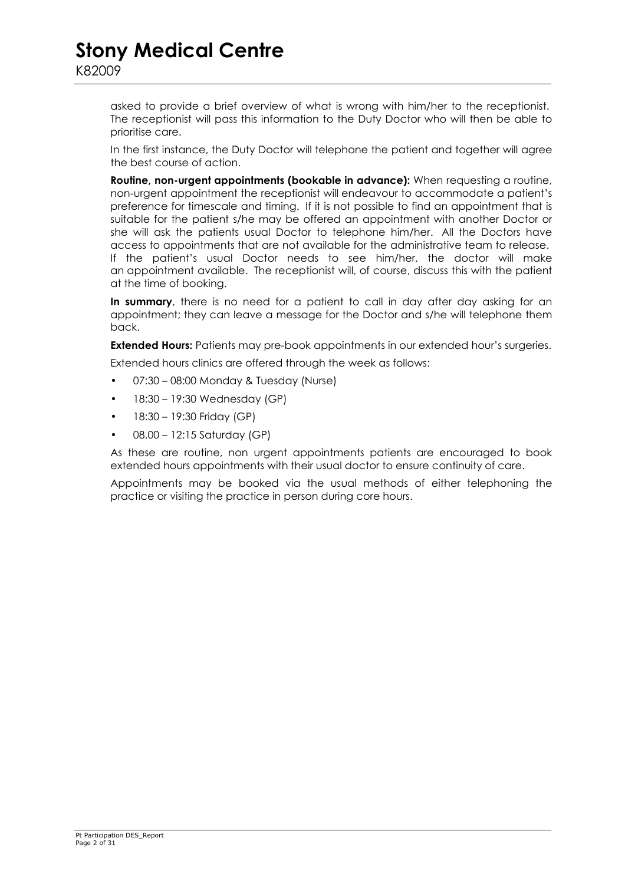asked to provide a brief overview of what is wrong with him/her to the receptionist. The receptionist will pass this information to the Duty Doctor who will then be able to prioritise care.

In the first instance, the Duty Doctor will telephone the patient and together will agree the best course of action.

**Routine, non-urgent appointments (bookable in advance):** When requesting a routine, non-urgent appointment the receptionist will endeavour to accommodate a patient's preference for timescale and timing. If it is not possible to find an appointment that is suitable for the patient s/he may be offered an appointment with another Doctor or she will ask the patients usual Doctor to telephone him/her. All the Doctors have access to appointments that are not available for the administrative team to release. If the patient's usual Doctor needs to see him/her, the doctor will make an appointment available. The receptionist will, of course, discuss this with the patient at the time of booking.

**In summary**, there is no need for a patient to call in day after day asking for an appointment; they can leave a message for the Doctor and s/he will telephone them back.

**Extended Hours:** Patients may pre-book appointments in our extended hour's surgeries.

Extended hours clinics are offered through the week as follows:

- 07:30 08:00 Monday & Tuesday (Nurse)
- $\bullet$  18:30 19:30 Wednesday (GP)
- 18:30 19:30 Friday (GP)
- 08.00 12:15 Saturday (GP)

As these are routine, non urgent appointments patients are encouraged to book extended hours appointments with their usual doctor to ensure continuity of care.

Appointments may be booked via the usual methods of either telephoning the practice or visiting the practice in person during core hours.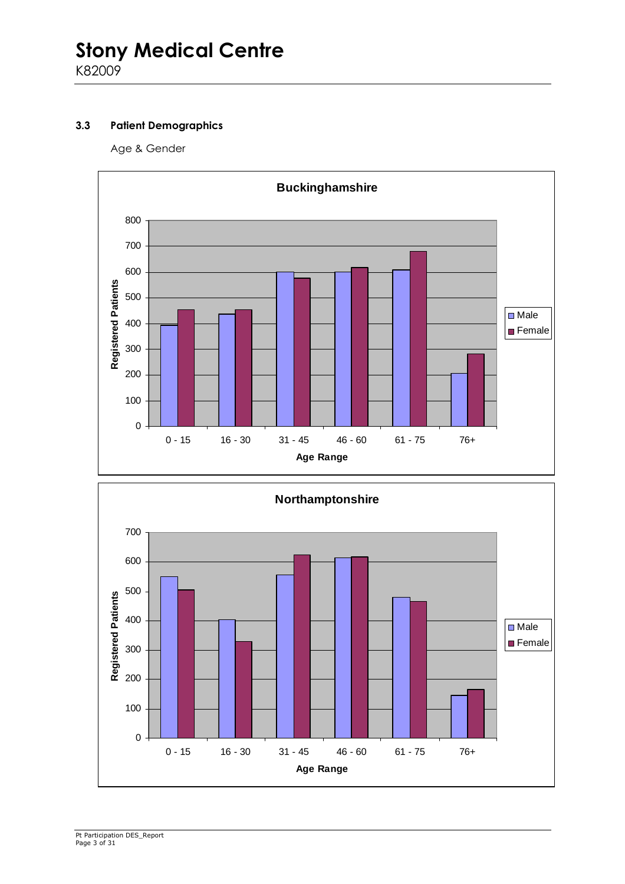#### **3.3 Patient Demographics**

Age & Gender



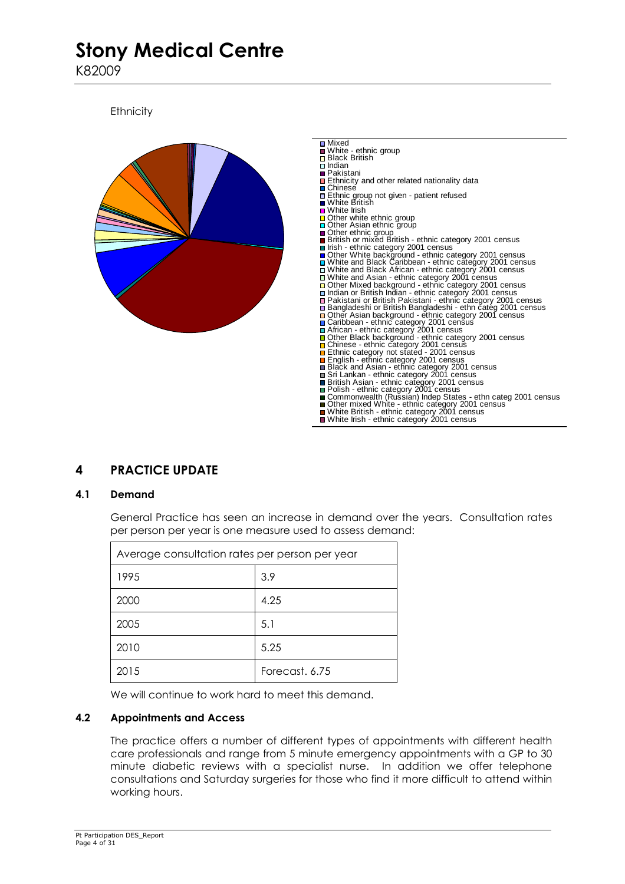K82009

**Ethnicity** 



### **4 PRACTICE UPDATE**

#### **4.1 Demand**

 General Practice has seen an increase in demand over the years. Consultation rates per person per year is one measure used to assess demand:

| Average consultation rates per person per year |                |  |
|------------------------------------------------|----------------|--|
| 1995                                           | 3.9            |  |
| 2000                                           | 4.25           |  |
| 2005                                           | 5.1            |  |
| 2010                                           | 5.25           |  |
| 2015                                           | Forecast, 6.75 |  |

We will continue to work hard to meet this demand.

#### **4.2 Appointments and Access**

 The practice offers a number of different types of appointments with different health care professionals and range from 5 minute emergency appointments with a GP to 30 minute diabetic reviews with a specialist nurse. In addition we offer telephone consultations and Saturday surgeries for those who find it more difficult to attend within working hours.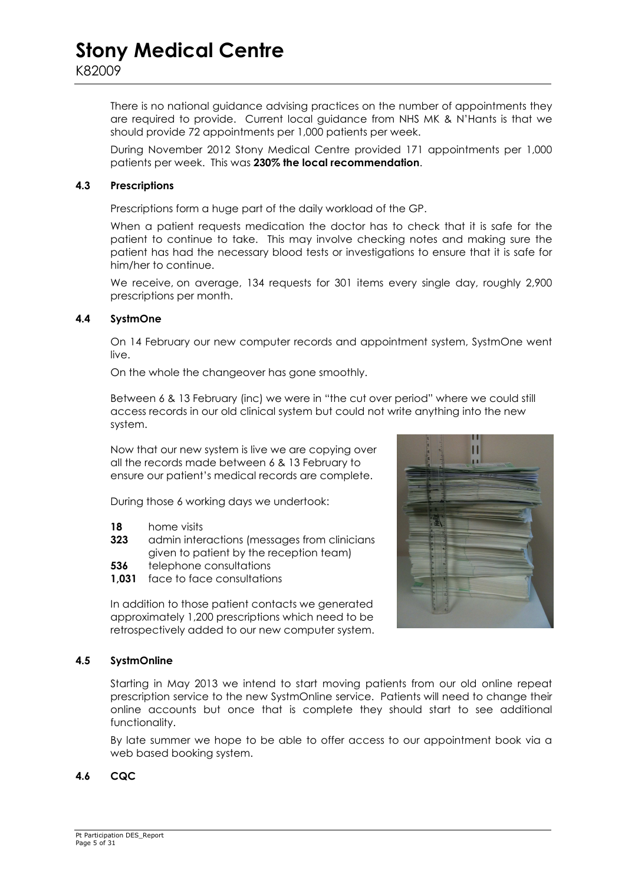There is no national guidance advising practices on the number of appointments they are required to provide. Current local guidance from NHS MK & N'Hants is that we should provide 72 appointments per 1,000 patients per week.

During November 2012 Stony Medical Centre provided 171 appointments per 1,000 patients per week. This was **230% the local recommendation**.

#### **4.3 Prescriptions**

Prescriptions form a huge part of the daily workload of the GP.

When a patient requests medication the doctor has to check that it is safe for the patient to continue to take. This may involve checking notes and making sure the patient has had the necessary blood tests or investigations to ensure that it is safe for him/her to continue.

We receive, on average, 134 requests for 301 items every single day, roughly 2,900 prescriptions per month.

#### **4.4 SystmOne**

On 14 February our new computer records and appointment system, SystmOne went live.

On the whole the changeover has gone smoothly.

Between 6 & 13 February (inc) we were in "the cut over period" where we could still access records in our old clinical system but could not write anything into the new system.

Now that our new system is live we are copying over all the records made between 6 & 13 February to ensure our patient's medical records are complete.

During those 6 working days we undertook:

- **18** home visits
- **323** admin interactions (messages from clinicians given to patient by the reception team)
- **536** telephone consultations
- **1,031** face to face consultations

In addition to those patient contacts we generated approximately 1,200 prescriptions which need to be retrospectively added to our new computer system.



#### **4.5 SystmOnline**

Starting in May 2013 we intend to start moving patients from our old online repeat prescription service to the new SystmOnline service. Patients will need to change their online accounts but once that is complete they should start to see additional functionality.

By late summer we hope to be able to offer access to our appointment book via a web based booking system.

#### **4.6 CQC**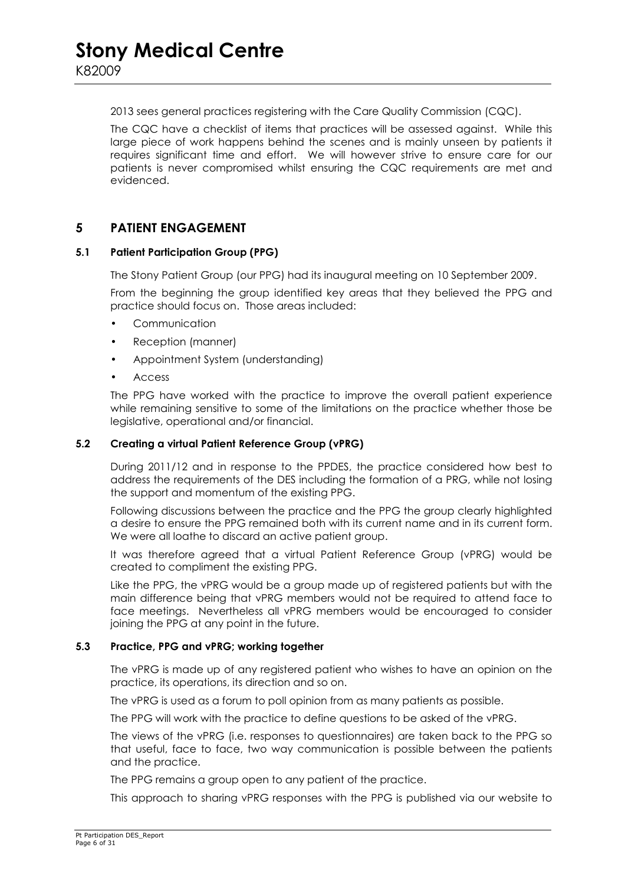2013 sees general practices registering with the Care Quality Commission (CQC).

The CQC have a checklist of items that practices will be assessed against. While this large piece of work happens behind the scenes and is mainly unseen by patients it requires significant time and effort. We will however strive to ensure care for our patients is never compromised whilst ensuring the CQC requirements are met and evidenced.

#### **5 PATIENT ENGAGEMENT**

#### **5.1 Patient Participation Group (PPG)**

The Stony Patient Group (our PPG) had its inaugural meeting on 10 September 2009.

From the beginning the group identified key areas that they believed the PPG and practice should focus on. Those areas included:

- Communication
- Reception (manner)
- Appointment System (understanding)
- Access

The PPG have worked with the practice to improve the overall patient experience while remaining sensitive to some of the limitations on the practice whether those be legislative, operational and/or financial.

#### **5.2 Creating a virtual Patient Reference Group (vPRG)**

 During 2011/12 and in response to the PPDES, the practice considered how best to address the requirements of the DES including the formation of a PRG, while not losing the support and momentum of the existing PPG.

Following discussions between the practice and the PPG the group clearly highlighted a desire to ensure the PPG remained both with its current name and in its current form. We were all loathe to discard an active patient group.

It was therefore agreed that a virtual Patient Reference Group (vPRG) would be created to compliment the existing PPG.

Like the PPG, the vPRG would be a group made up of registered patients but with the main difference being that vPRG members would not be required to attend face to face meetings. Nevertheless all vPRG members would be encouraged to consider joining the PPG at any point in the future.

#### **5.3 Practice, PPG and vPRG; working together**

 The vPRG is made up of any registered patient who wishes to have an opinion on the practice, its operations, its direction and so on.

The vPRG is used as a forum to poll opinion from as many patients as possible.

The PPG will work with the practice to define questions to be asked of the vPRG.

The views of the vPRG (i.e. responses to questionnaires) are taken back to the PPG so that useful, face to face, two way communication is possible between the patients and the practice.

The PPG remains a group open to any patient of the practice.

This approach to sharing vPRG responses with the PPG is published via our website to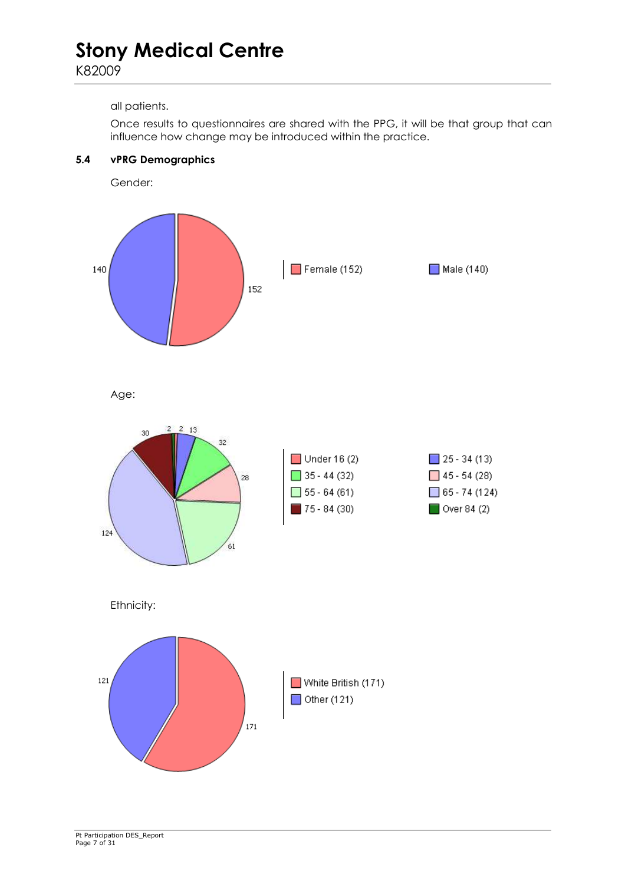K82009

#### all patients.

**5.4 vPRG Demographics** 

Once results to questionnaires are shared with the PPG, it will be that group that can influence how change may be introduced within the practice.



Age:

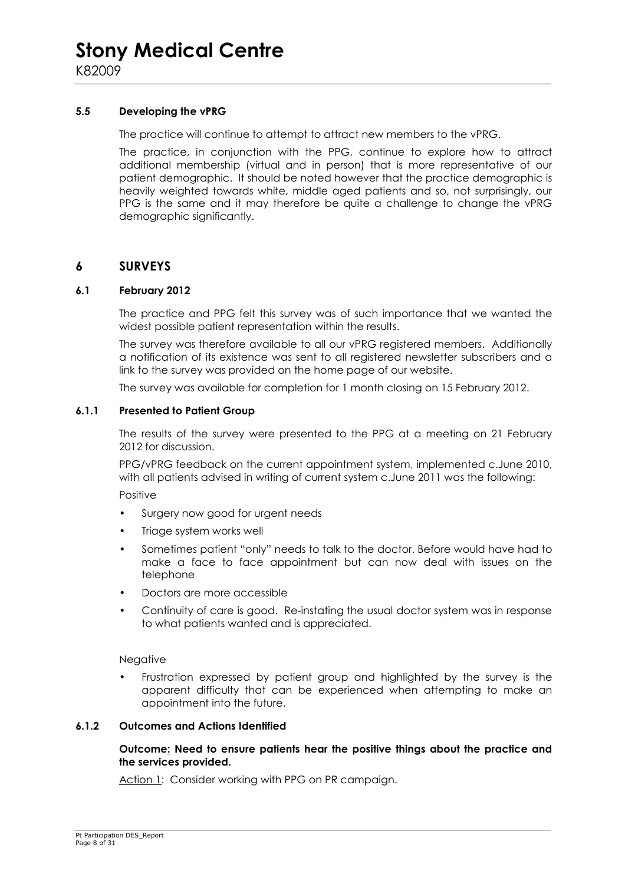#### **5.5 Developing the vPRG**

The practice will continue to attempt to attract new members to the vPRG.

The practice, in conjunction with the PPG, continue to explore how to attract additional membership (virtual and in person) that is more representative of our patient demographic. It should be noted however that the practice demographic is heavily weighted towards white, middle aged patients and so, not surprisingly, our PPG is the same and it may therefore be quite a challenge to change the vPRG demographic significantly.

#### **6 SURVEYS**

#### **6.1 February 2012**

The practice and PPG felt this survey was of such importance that we wanted the widest possible patient representation within the results.

The survey was therefore available to all our vPRG registered members. Additionally a notification of its existence was sent to all registered newsletter subscribers and a link to the survey was provided on the home page of our website.

The survey was available for completion for 1 month closing on 15 February 2012.

#### **6.1.1 Presented to Patient Group**

The results of the survey were presented to the PPG at a meeting on 21 February 2012 for discussion.

PPG/vPRG feedback on the current appointment system, implemented c.June 2010, with all patients advised in writing of current system c.June 2011 was the following:

Positive

- Surgery now good for urgent needs
- Triage system works well
- Sometimes patient "only" needs to talk to the doctor. Before would have had to make a face to face appointment but can now deal with issues on the telephone
- Doctors are more accessible
- Continuity of care is good. Re-instating the usual doctor system was in response to what patients wanted and is appreciated.

#### Negative

• Frustration expressed by patient group and highlighted by the survey is the apparent difficulty that can be experienced when attempting to make an appointment into the future.

#### **6.1.2 Outcomes and Actions Identified**

#### **Outcome: Need to ensure patients hear the positive things about the practice and the services provided.**

Action 1: Consider working with PPG on PR campaign.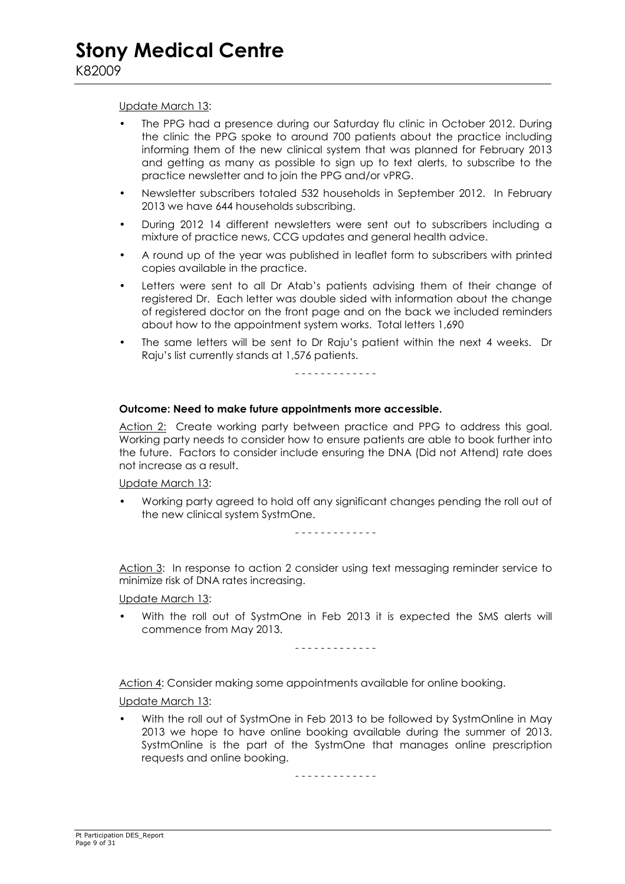#### Update March 13:

- The PPG had a presence during our Saturday flu clinic in October 2012. During the clinic the PPG spoke to around 700 patients about the practice including informing them of the new clinical system that was planned for February 2013 and getting as many as possible to sign up to text alerts, to subscribe to the practice newsletter and to join the PPG and/or vPRG.
- Newsletter subscribers totaled 532 households in September 2012. In February 2013 we have 644 households subscribing.
- During 2012 14 different newsletters were sent out to subscribers including a mixture of practice news, CCG updates and general health advice.
- A round up of the year was published in leaflet form to subscribers with printed copies available in the practice.
- Letters were sent to all Dr Atab's patients advising them of their change of registered Dr. Each letter was double sided with information about the change of registered doctor on the front page and on the back we included reminders about how to the appointment system works. Total letters 1,690
- The same letters will be sent to Dr Raju's patient within the next 4 weeks. Dr Raju's list currently stands at 1,576 patients.

- - - - - - - - - - - - -

#### **Outcome: Need to make future appointments more accessible.**

Action 2: Create working party between practice and PPG to address this goal. Working party needs to consider how to ensure patients are able to book further into the future. Factors to consider include ensuring the DNA (Did not Attend) rate does not increase as a result.

Update March 13:

• Working party agreed to hold off any significant changes pending the roll out of the new clinical system SystmOne.

- - - - - - - - - - - - -

Action 3: In response to action 2 consider using text messaging reminder service to minimize risk of DNA rates increasing.

Update March 13:

• With the roll out of SystmOne in Feb 2013 it is expected the SMS alerts will commence from May 2013.

- - - - - - - - - - - - -

Action 4: Consider making some appointments available for online booking.

Update March 13:

• With the roll out of SystmOne in Feb 2013 to be followed by SystmOnline in May 2013 we hope to have online booking available during the summer of 2013. SystmOnline is the part of the SystmOne that manages online prescription requests and online booking.

- - - - - - - - - - - - -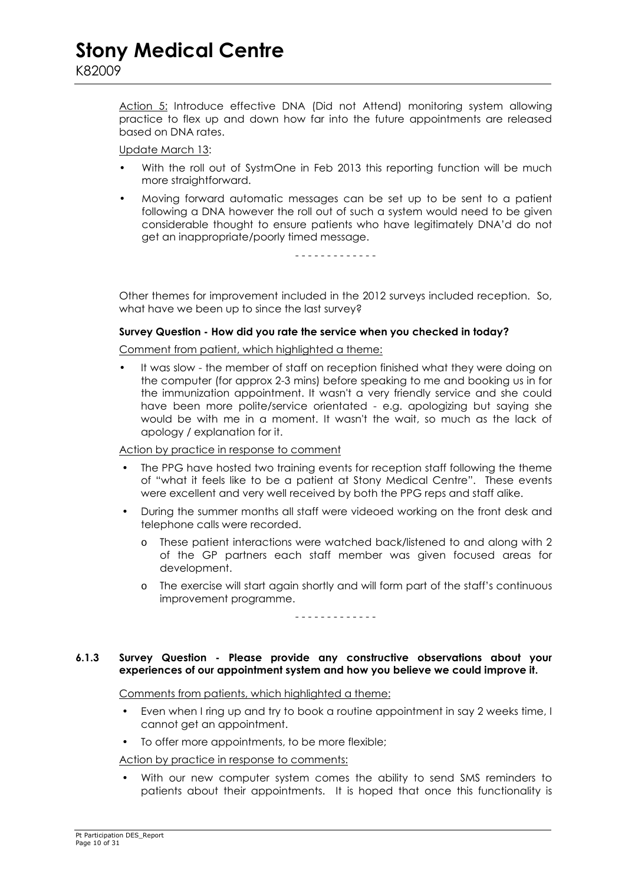Action 5: Introduce effective DNA (Did not Attend) monitoring system allowing practice to flex up and down how far into the future appointments are released based on DNA rates.

Update March 13:

- With the roll out of SystmOne in Feb 2013 this reporting function will be much more straightforward.
- Moving forward automatic messages can be set up to be sent to a patient following a DNA however the roll out of such a system would need to be given considerable thought to ensure patients who have legitimately DNA'd do not get an inappropriate/poorly timed message.

- - - - - - - - - - - - -

 Other themes for improvement included in the 2012 surveys included reception. So, what have we been up to since the last survey?

#### **Survey Question - How did you rate the service when you checked in today?**

Comment from patient, which highlighted a theme:

It was slow - the member of staff on reception finished what they were doing on the computer (for approx 2-3 mins) before speaking to me and booking us in for the immunization appointment. It wasn't a very friendly service and she could have been more polite/service orientated - e.g. apologizing but saying she would be with me in a moment. It wasn't the wait, so much as the lack of apology / explanation for it.

Action by practice in response to comment

- The PPG have hosted two training events for reception staff following the theme of "what it feels like to be a patient at Stony Medical Centre". These events were excellent and very well received by both the PPG reps and staff alike.
- During the summer months all staff were videoed working on the front desk and telephone calls were recorded.
	- o These patient interactions were watched back/listened to and along with 2 of the GP partners each staff member was given focused areas for development.
	- o The exercise will start again shortly and will form part of the staff's continuous improvement programme.

- - - - - - - - - - - - -

#### **6.1.3 Survey Question - Please provide any constructive observations about your experiences of our appointment system and how you believe we could improve it.**

Comments from patients, which highlighted a theme:

- Even when I ring up and try to book a routine appointment in say 2 weeks time, I cannot get an appointment.
- To offer more appointments, to be more flexible;

Action by practice in response to comments:

• With our new computer system comes the ability to send SMS reminders to patients about their appointments. It is hoped that once this functionality is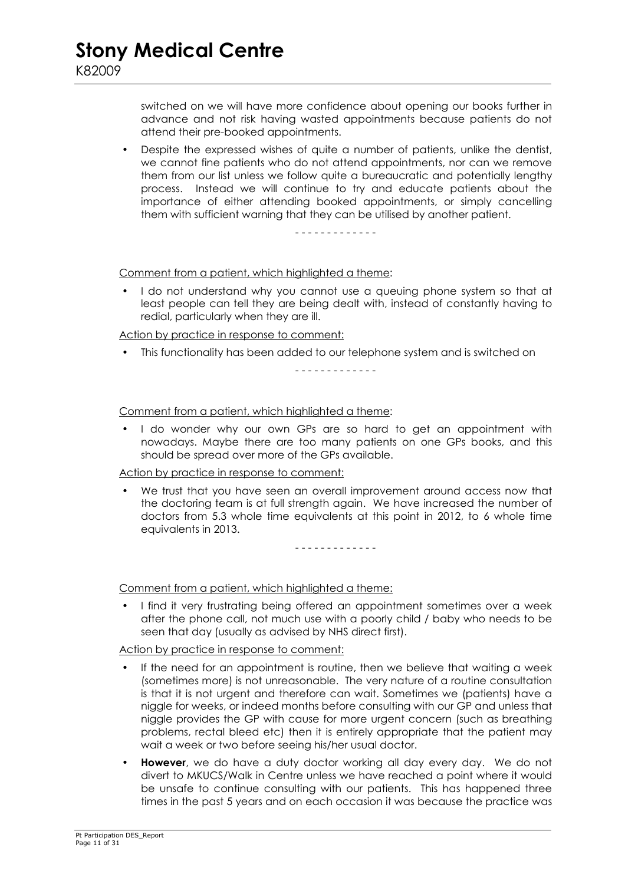switched on we will have more confidence about opening our books further in advance and not risk having wasted appointments because patients do not attend their pre-booked appointments.

• Despite the expressed wishes of quite a number of patients, unlike the dentist, we cannot fine patients who do not attend appointments, nor can we remove them from our list unless we follow quite a bureaucratic and potentially lengthy process. Instead we will continue to try and educate patients about the importance of either attending booked appointments, or simply cancelling them with sufficient warning that they can be utilised by another patient.

- - - - - - - - - - - - -

Comment from a patient, which highlighted a theme:

I do not understand why you cannot use a queuing phone system so that at least people can tell they are being dealt with, instead of constantly having to redial, particularly when they are ill.

Action by practice in response to comment:

• This functionality has been added to our telephone system and is switched on

- - - - - - - - - - - - -

Comment from a patient, which highlighted a theme:

I do wonder why our own GPs are so hard to get an appointment with nowadays. Maybe there are too many patients on one GPs books, and this should be spread over more of the GPs available.

Action by practice in response to comment:

We trust that you have seen an overall improvement around access now that the doctoring team is at full strength again. We have increased the number of doctors from 5.3 whole time equivalents at this point in 2012, to 6 whole time equivalents in 2013.

- - - - - - - - - - - - -

Comment from a patient, which highlighted a theme:

• I find it very frustrating being offered an appointment sometimes over a week after the phone call, not much use with a poorly child / baby who needs to be seen that day (usually as advised by NHS direct first).

Action by practice in response to comment:

- If the need for an appointment is routine, then we believe that waiting a week (sometimes more) is not unreasonable. The very nature of a routine consultation is that it is not urgent and therefore can wait. Sometimes we (patients) have a niggle for weeks, or indeed months before consulting with our GP and unless that niggle provides the GP with cause for more urgent concern (such as breathing problems, rectal bleed etc) then it is entirely appropriate that the patient may wait a week or two before seeing his/her usual doctor.
- **However**, we do have a duty doctor working all day every day. We do not divert to MKUCS/Walk in Centre unless we have reached a point where it would be unsafe to continue consulting with our patients. This has happened three times in the past 5 years and on each occasion it was because the practice was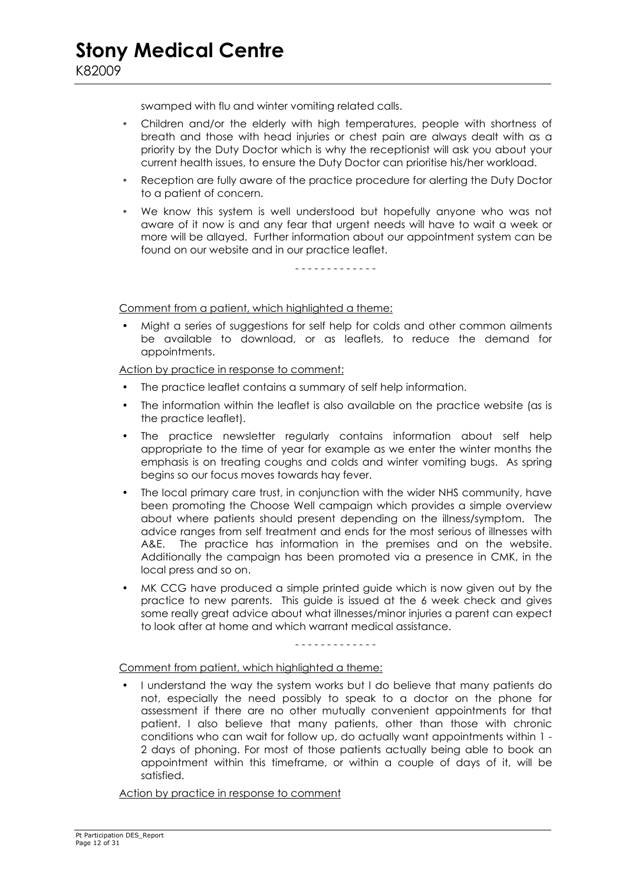swamped with flu and winter vomiting related calls.

- Children and/or the elderly with high temperatures, people with shortness of breath and those with head injuries or chest pain are always dealt with as a priority by the Duty Doctor which is why the receptionist will ask you about your current health issues, to ensure the Duty Doctor can prioritise his/her workload.
- Reception are fully aware of the practice procedure for alerting the Duty Doctor to a patient of concern.
- We know this system is well understood but hopefully anyone who was not aware of it now is and any fear that urgent needs will have to wait a week or more will be allayed. Further information about our appointment system can be found on our website and in our practice leaflet.

#### - - - - - - - - - - - - -

Comment from a patient, which highlighted a theme:

• Might a series of suggestions for self help for colds and other common ailments be available to download, or as leaflets, to reduce the demand for appointments.

Action by practice in response to comment:

- The practice leaflet contains a summary of self help information.
- The information within the leaflet is also available on the practice website (as is the practice leaflet).
- The practice newsletter regularly contains information about self help appropriate to the time of year for example as we enter the winter months the emphasis is on treating coughs and colds and winter vomiting bugs. As spring begins so our focus moves towards hay fever.
- The local primary care trust, in conjunction with the wider NHS community, have been promoting the Choose Well campaign which provides a simple overview about where patients should present depending on the illness/symptom. The advice ranges from self treatment and ends for the most serious of illnesses with A&E. The practice has information in the premises and on the website. Additionally the campaign has been promoted via a presence in CMK, in the local press and so on.
- MK CCG have produced a simple printed guide which is now given out by the practice to new parents. This guide is issued at the 6 week check and gives some really great advice about what illnesses/minor injuries a parent can expect to look after at home and which warrant medical assistance.

#### - - - - - - - - - - - - -

#### Comment from patient, which highlighted a theme:

• I understand the way the system works but I do believe that many patients do not, especially the need possibly to speak to a doctor on the phone for assessment if there are no other mutually convenient appointments for that patient. I also believe that many patients, other than those with chronic conditions who can wait for follow up, do actually want appointments within 1 - 2 days of phoning. For most of those patients actually being able to book an appointment within this timeframe, or within a couple of days of it, will be satisfied.

Action by practice in response to comment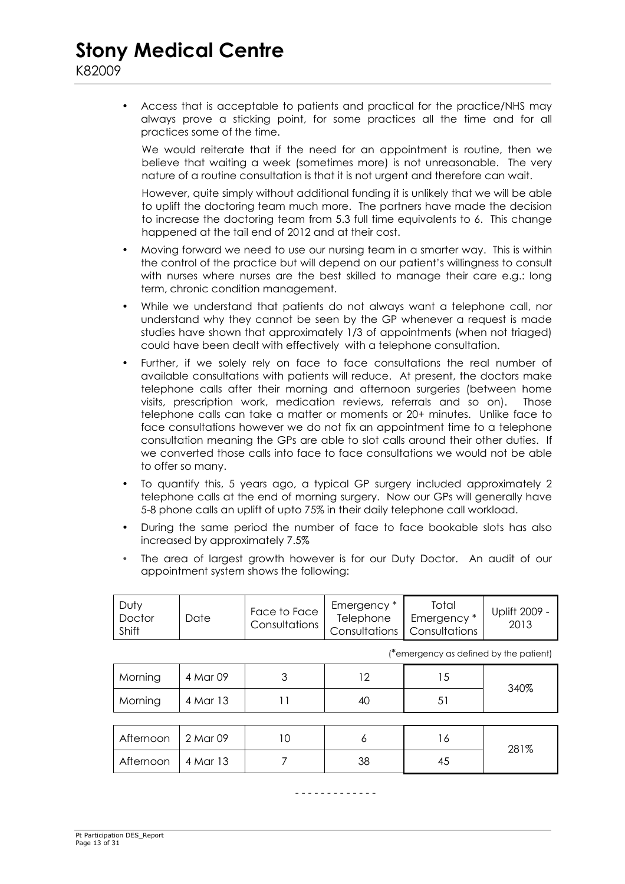• Access that is acceptable to patients and practical for the practice/NHS may always prove a sticking point, for some practices all the time and for all practices some of the time.

We would reiterate that if the need for an appointment is routine, then we believe that waiting a week (sometimes more) is not unreasonable. The very nature of a routine consultation is that it is not urgent and therefore can wait.

However, quite simply without additional funding it is unlikely that we will be able to uplift the doctoring team much more. The partners have made the decision to increase the doctoring team from 5.3 full time equivalents to 6. This change happened at the tail end of 2012 and at their cost.

- Moving forward we need to use our nursing team in a smarter way. This is within the control of the practice but will depend on our patient's willingness to consult with nurses where nurses are the best skilled to manage their care e.g.: long term, chronic condition management.
- While we understand that patients do not always want a telephone call, nor understand why they cannot be seen by the GP whenever a request is made studies have shown that approximately 1/3 of appointments (when not triaged) could have been dealt with effectively with a telephone consultation.
- Further, if we solely rely on face to face consultations the real number of available consultations with patients will reduce. At present, the doctors make telephone calls after their morning and afternoon surgeries (between home visits, prescription work, medication reviews, referrals and so on). Those telephone calls can take a matter or moments or 20+ minutes. Unlike face to face consultations however we do not fix an appointment time to a telephone consultation meaning the GPs are able to slot calls around their other duties. If we converted those calls into face to face consultations we would not be able to offer so many.
- To quantify this, 5 years ago, a typical GP surgery included approximately 2 telephone calls at the end of morning surgery. Now our GPs will generally have 5-8 phone calls an uplift of upto 75% in their daily telephone call workload.
- During the same period the number of face to face bookable slots has also increased by approximately 7.5%
- The area of largest growth however is for our Duty Doctor. An audit of our appointment system shows the following:

| Dutv<br>Face to Face<br>Date<br>Doctor<br>Consultations<br>Shift | Emergency *<br>Telephone | Total<br>Emergency *<br><b>I Consultations   Consultations</b> | Uplift 2009 -<br>2013 |
|------------------------------------------------------------------|--------------------------|----------------------------------------------------------------|-----------------------|
|------------------------------------------------------------------|--------------------------|----------------------------------------------------------------|-----------------------|

| (*emergency as defined by the patient) |  |
|----------------------------------------|--|
|----------------------------------------|--|

| Morning   | 4 Mar 09 |    | 12 | 15 | 340% |
|-----------|----------|----|----|----|------|
| Morning   | 4 Mar 13 |    | 40 | 51 |      |
|           |          |    |    |    |      |
| Afternoon | 2 Mar 09 | 10 | Ô  | 16 | 281% |
| Afternoon | 4 Mar 13 |    | 38 | 45 |      |

- - - - - - - - - - - - -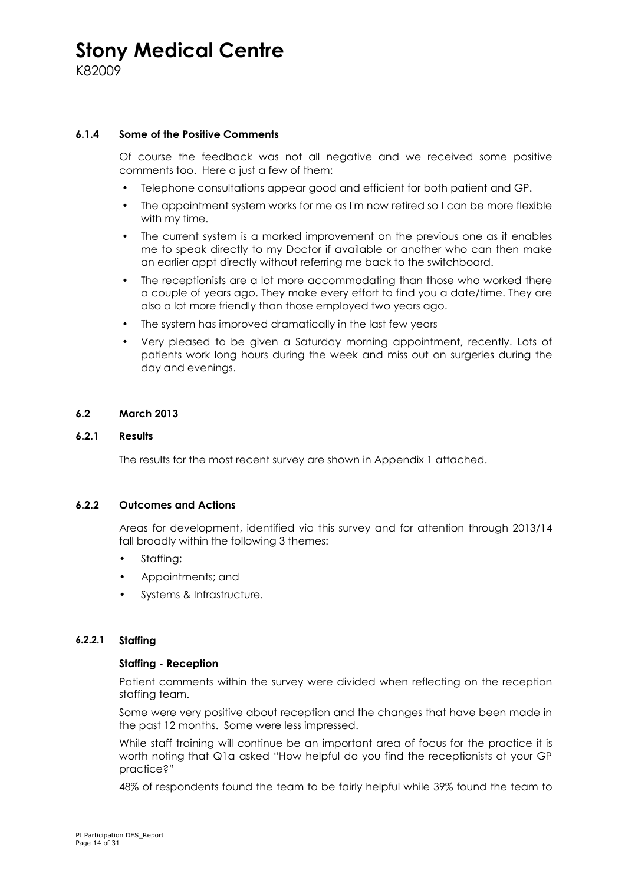#### **6.1.4 Some of the Positive Comments**

 Of course the feedback was not all negative and we received some positive comments too. Here a just a few of them:

- Telephone consultations appear good and efficient for both patient and GP.
- The appointment system works for me as I'm now retired so I can be more flexible with my time.
- The current system is a marked improvement on the previous one as it enables me to speak directly to my Doctor if available or another who can then make an earlier appt directly without referring me back to the switchboard.
- The receptionists are a lot more accommodating than those who worked there a couple of years ago. They make every effort to find you a date/time. They are also a lot more friendly than those employed two years ago.
- The system has improved dramatically in the last few years
- Very pleased to be given a Saturday morning appointment, recently. Lots of patients work long hours during the week and miss out on surgeries during the day and evenings.

#### **6.2 March 2013**

#### **6.2.1 Results**

The results for the most recent survey are shown in Appendix 1 attached.

#### **6.2.2 Outcomes and Actions**

 Areas for development, identified via this survey and for attention through 2013/14 fall broadly within the following 3 themes:

- Staffing:
- Appointments; and
- Systems & Infrastructure.

#### **6.2.2.1 Staffing**

#### **Staffing - Reception**

Patient comments within the survey were divided when reflecting on the reception staffing team.

Some were very positive about reception and the changes that have been made in the past 12 months. Some were less impressed.

While staff training will continue be an important area of focus for the practice it is worth noting that Q1a asked "How helpful do you find the receptionists at your GP practice?"

48% of respondents found the team to be fairly helpful while 39% found the team to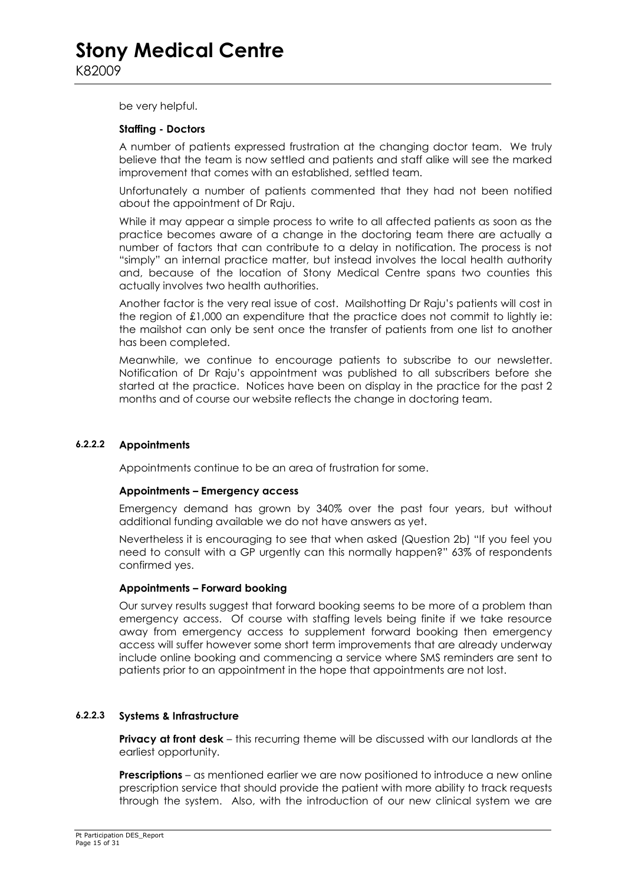be very helpful.

#### **Staffing - Doctors**

A number of patients expressed frustration at the changing doctor team. We truly believe that the team is now settled and patients and staff alike will see the marked improvement that comes with an established, settled team.

Unfortunately a number of patients commented that they had not been notified about the appointment of Dr Raju.

While it may appear a simple process to write to all affected patients as soon as the practice becomes aware of a change in the doctoring team there are actually a number of factors that can contribute to a delay in notification. The process is not "simply" an internal practice matter, but instead involves the local health authority and, because of the location of Stony Medical Centre spans two counties this actually involves two health authorities.

Another factor is the very real issue of cost. Mailshotting Dr Raju's patients will cost in the region of £1,000 an expenditure that the practice does not commit to lightly ie: the mailshot can only be sent once the transfer of patients from one list to another has been completed.

Meanwhile, we continue to encourage patients to subscribe to our newsletter. Notification of Dr Raju's appointment was published to all subscribers before she started at the practice. Notices have been on display in the practice for the past 2 months and of course our website reflects the change in doctoring team.

#### **6.2.2.2 Appointments**

Appointments continue to be an area of frustration for some.

#### **Appointments – Emergency access**

Emergency demand has grown by 340% over the past four years, but without additional funding available we do not have answers as yet.

Nevertheless it is encouraging to see that when asked (Question 2b) "If you feel you need to consult with a GP urgently can this normally happen?" 63% of respondents confirmed yes.

#### **Appointments – Forward booking**

Our survey results suggest that forward booking seems to be more of a problem than emergency access. Of course with staffing levels being finite if we take resource away from emergency access to supplement forward booking then emergency access will suffer however some short term improvements that are already underway include online booking and commencing a service where SMS reminders are sent to patients prior to an appointment in the hope that appointments are not lost.

#### **6.2.2.3 Systems & Infrastructure**

**Privacy at front desk** – this recurring theme will be discussed with our landlords at the earliest opportunity.

**Prescriptions** – as mentioned earlier we are now positioned to introduce a new online prescription service that should provide the patient with more ability to track requests through the system. Also, with the introduction of our new clinical system we are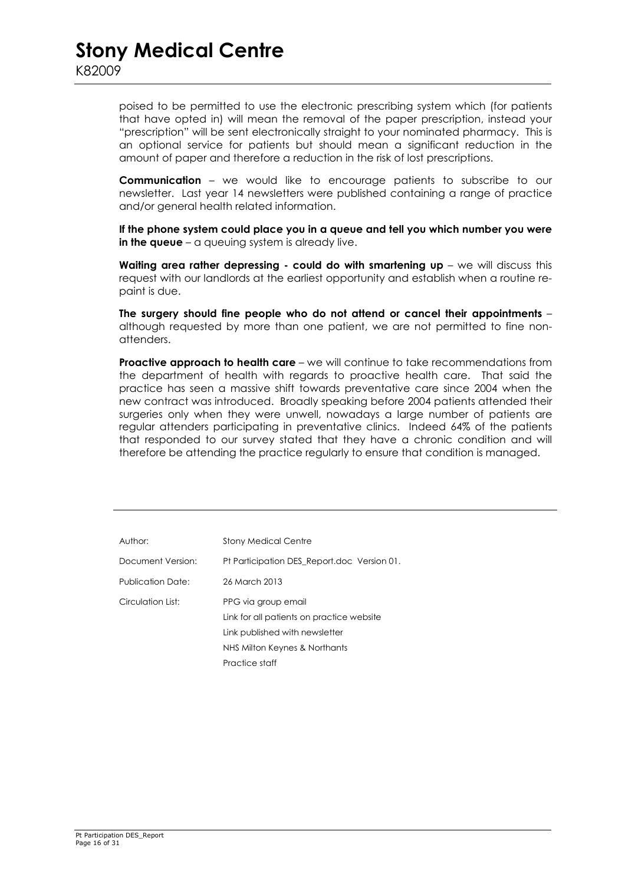poised to be permitted to use the electronic prescribing system which (for patients that have opted in) will mean the removal of the paper prescription, instead your "prescription" will be sent electronically straight to your nominated pharmacy. This is an optional service for patients but should mean a significant reduction in the amount of paper and therefore a reduction in the risk of lost prescriptions.

 **Communication** – we would like to encourage patients to subscribe to our newsletter. Last year 14 newsletters were published containing a range of practice and/or general health related information.

 **If the phone system could place you in a queue and tell you which number you were in the queue** – a queuing system is already live.

 **Waiting area rather depressing - could do with smartening up** – we will discuss this request with our landlords at the earliest opportunity and establish when a routine repaint is due.

 **The surgery should fine people who do not attend or cancel their appointments** – although requested by more than one patient, we are not permitted to fine nonattenders.

**Proactive approach to health care** – we will continue to take recommendations from the department of health with regards to proactive health care. That said the practice has seen a massive shift towards preventative care since 2004 when the new contract was introduced. Broadly speaking before 2004 patients attended their surgeries only when they were unwell, nowadays a large number of patients are regular attenders participating in preventative clinics. Indeed 64% of the patients that responded to our survey stated that they have a chronic condition and will therefore be attending the practice regularly to ensure that condition is managed.

| Author:           | <b>Stony Medical Centre</b>                                                                                                                           |
|-------------------|-------------------------------------------------------------------------------------------------------------------------------------------------------|
| Document Version: | Pt Participation DES Report.doc Version 01.                                                                                                           |
| Publication Date: | 26 March 2013                                                                                                                                         |
| Circulation List: | PPG via group email<br>Link for all patients on practice website<br>Link published with newsletter<br>NHS Milton Keynes & Northants<br>Practice staff |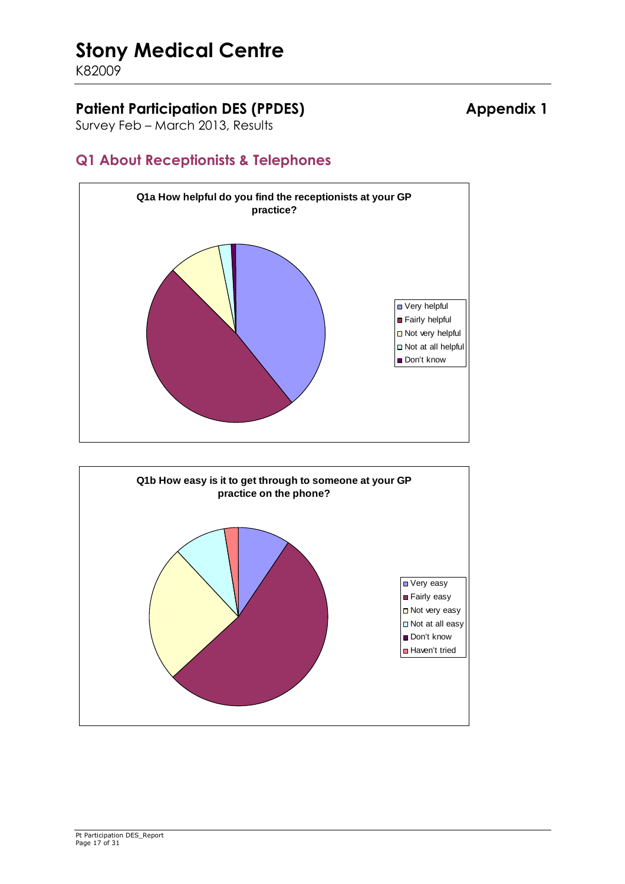K82009

### Patient Participation DES (PPDES) **Appendix 1**

Survey Feb – March 2013, Results

### **Q1 About Receptionists & Telephones**



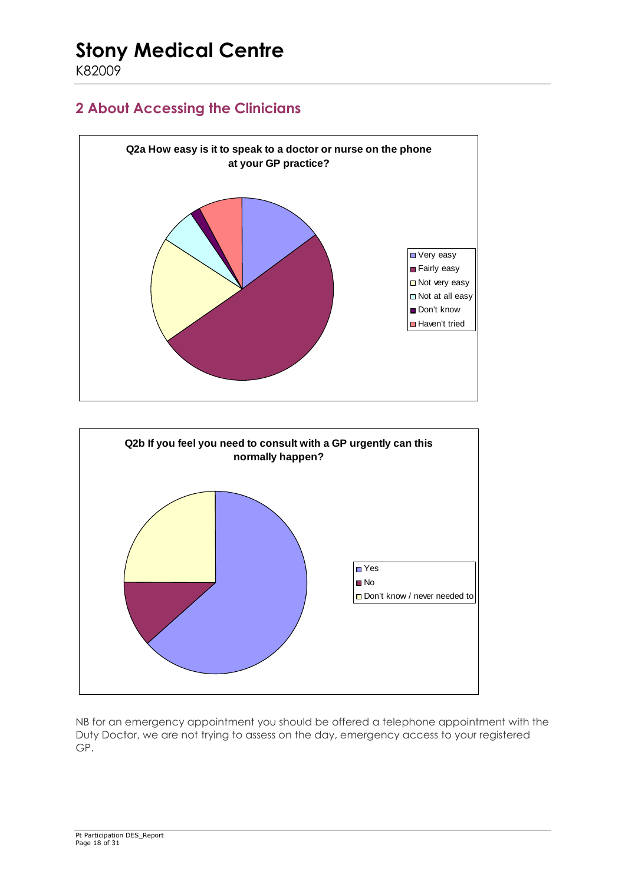K82009

### **2 About Accessing the Clinicians**





NB for an emergency appointment you should be offered a telephone appointment with the Duty Doctor, we are not trying to assess on the day, emergency access to your registered GP.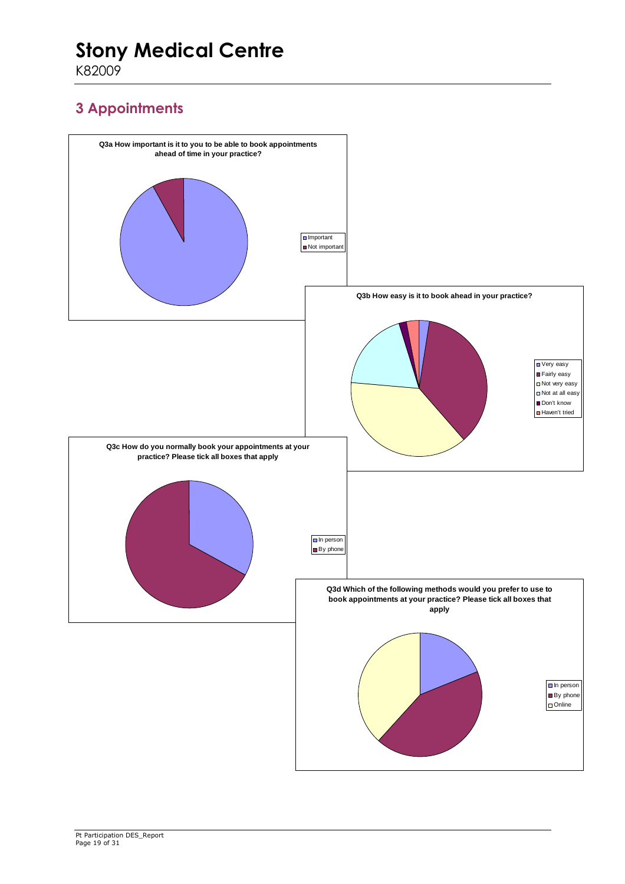K82009

### **3 Appointments**

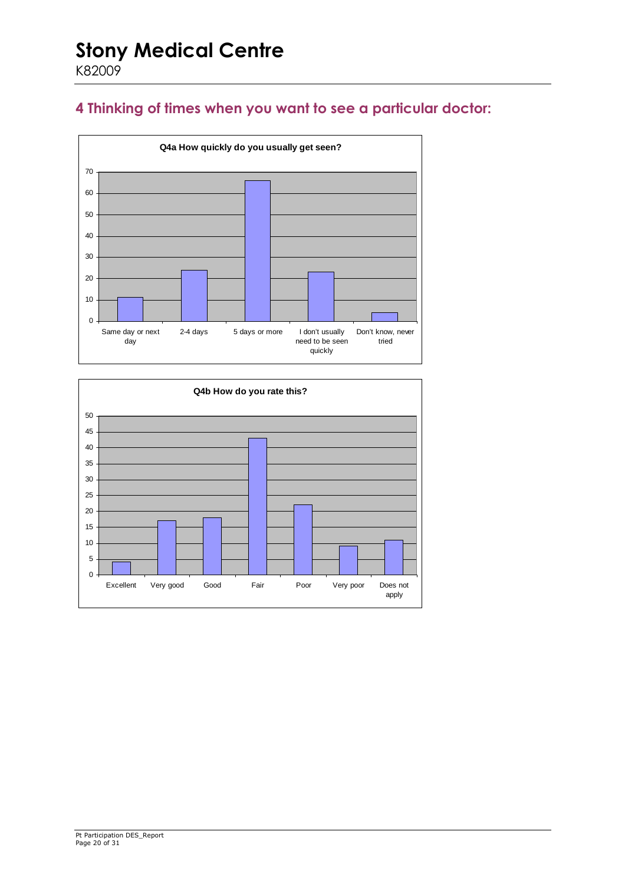### **4 Thinking of times when you want to see a particular doctor:**



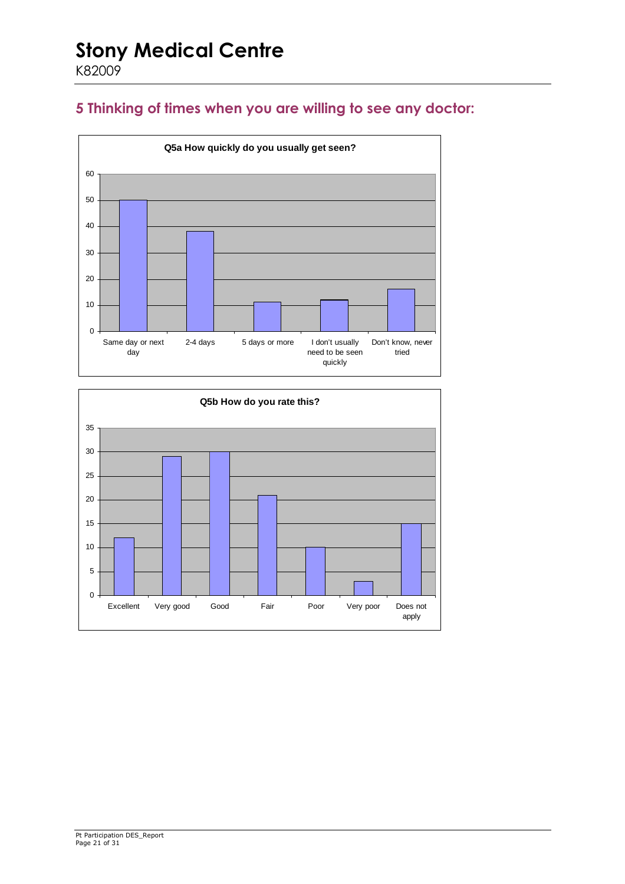### **5 Thinking of times when you are willing to see any doctor:**



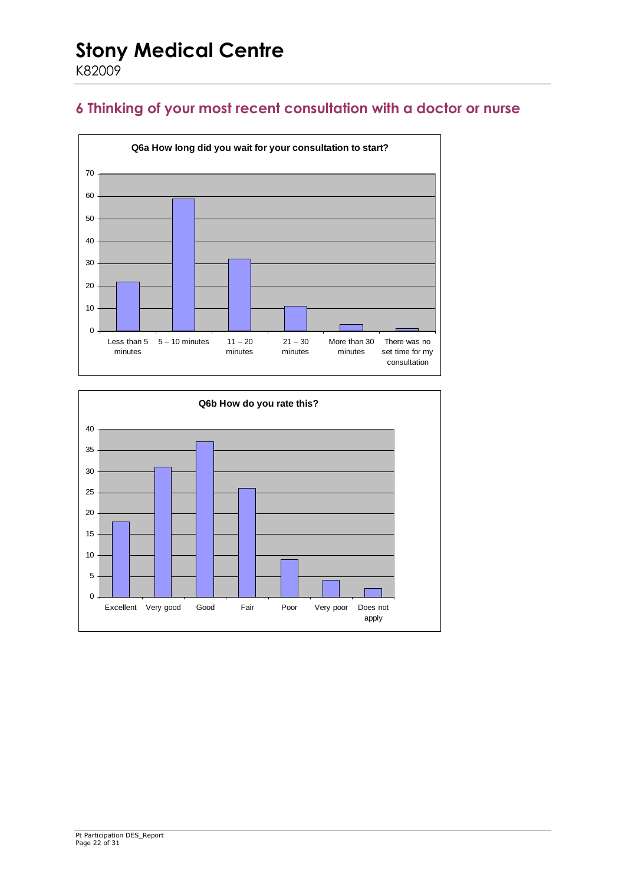### **6 Thinking of your most recent consultation with a doctor or nurse**



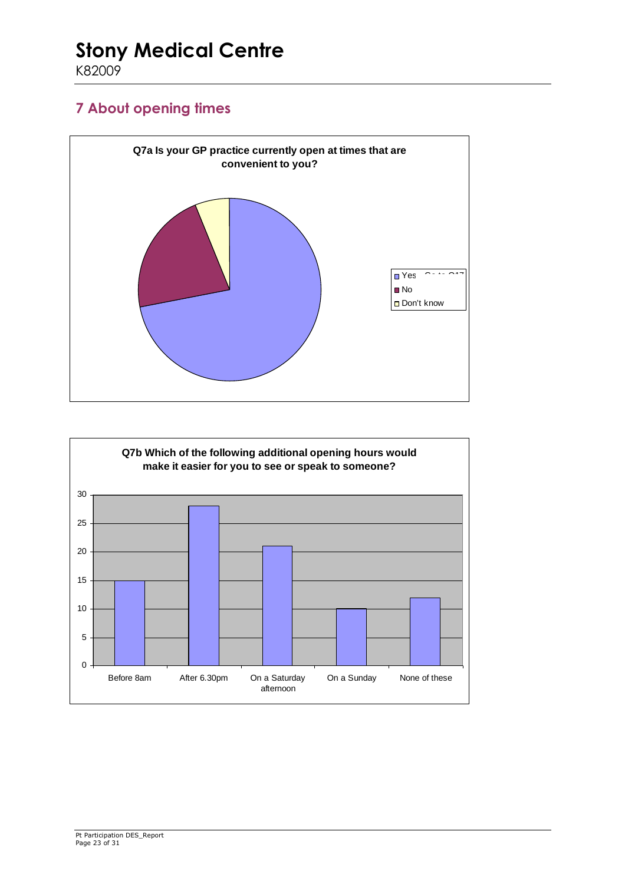K82009

### **7 About opening times**



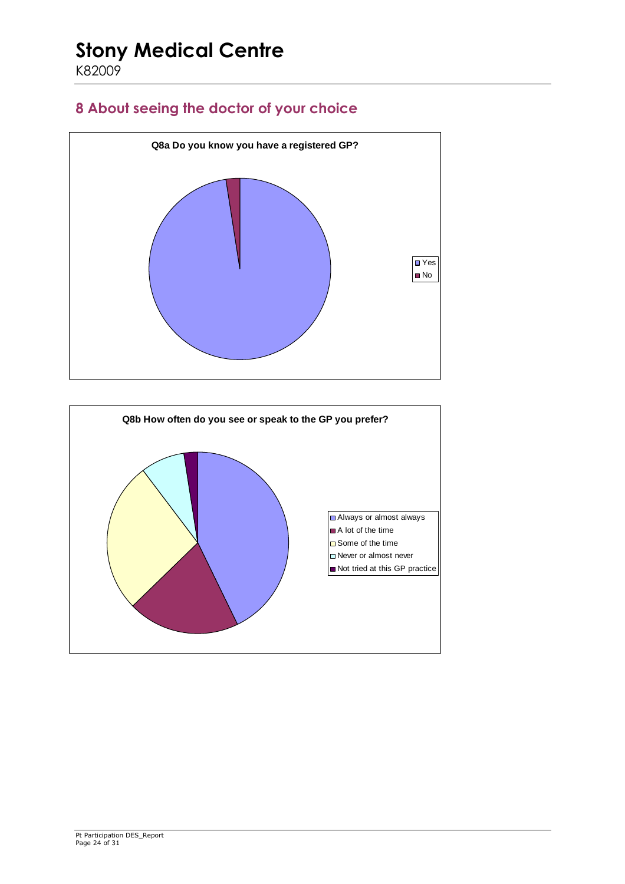### **8 About seeing the doctor of your choice**



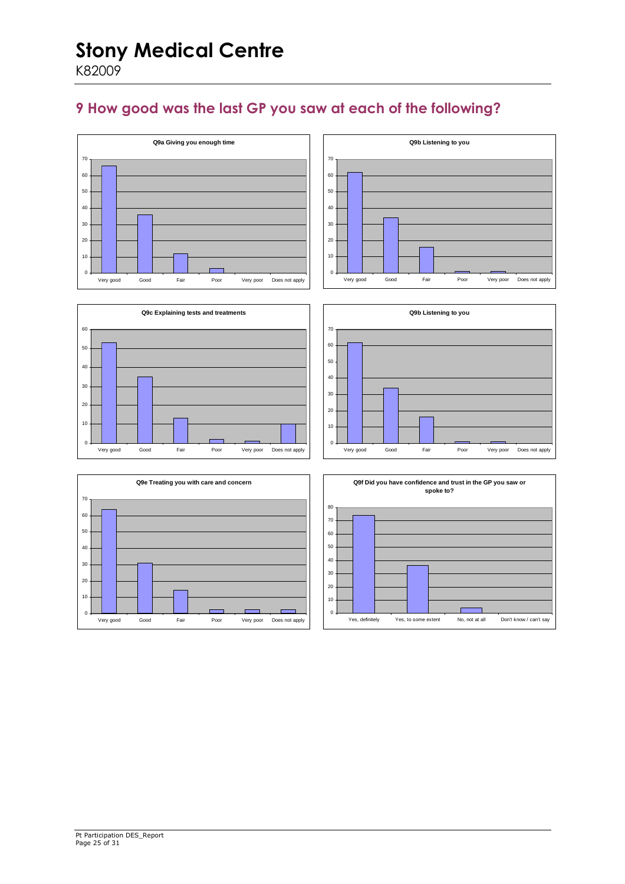### **9 How good was the last GP you saw at each of the following?**







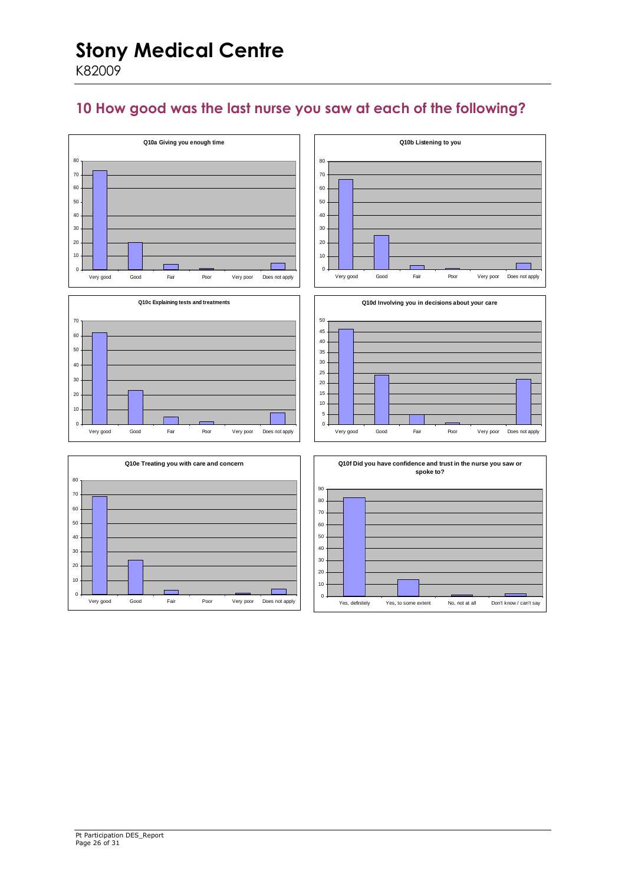### **10 How good was the last nurse you saw at each of the following?**

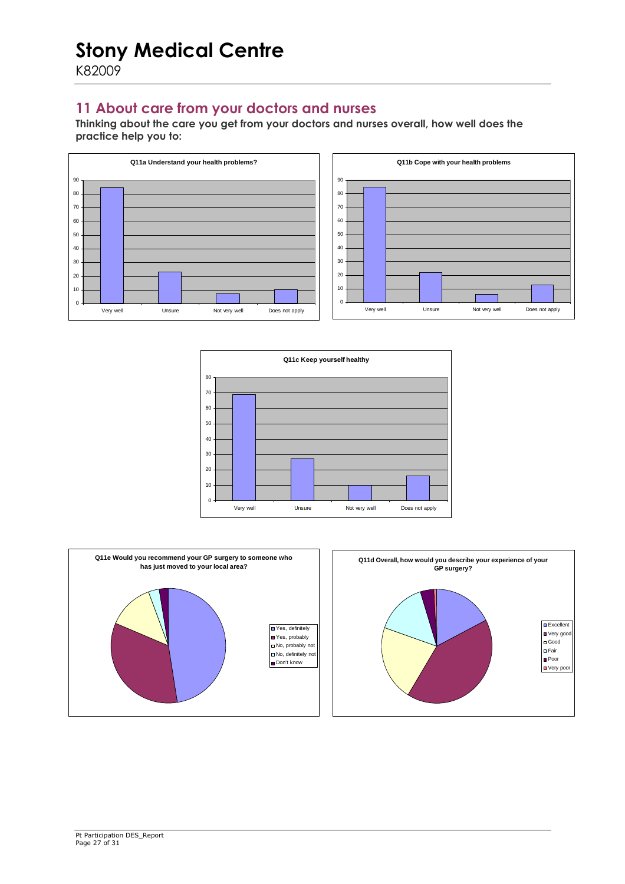### **11 About care from your doctors and nurses**

**Thinking about the care you get from your doctors and nurses overall, how well does the practice help you to:** 







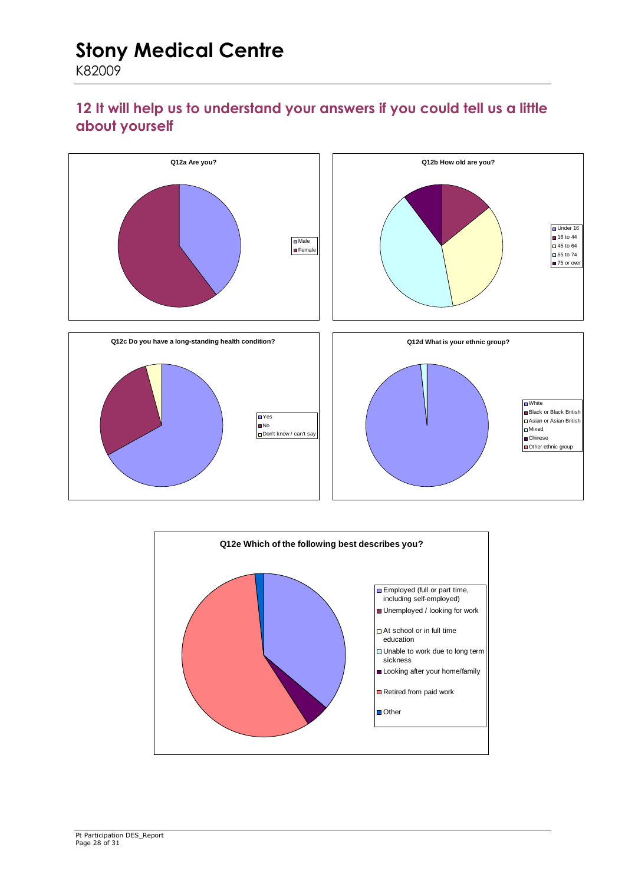### **12 It will help us to understand your answers if you could tell us a little about yourself**



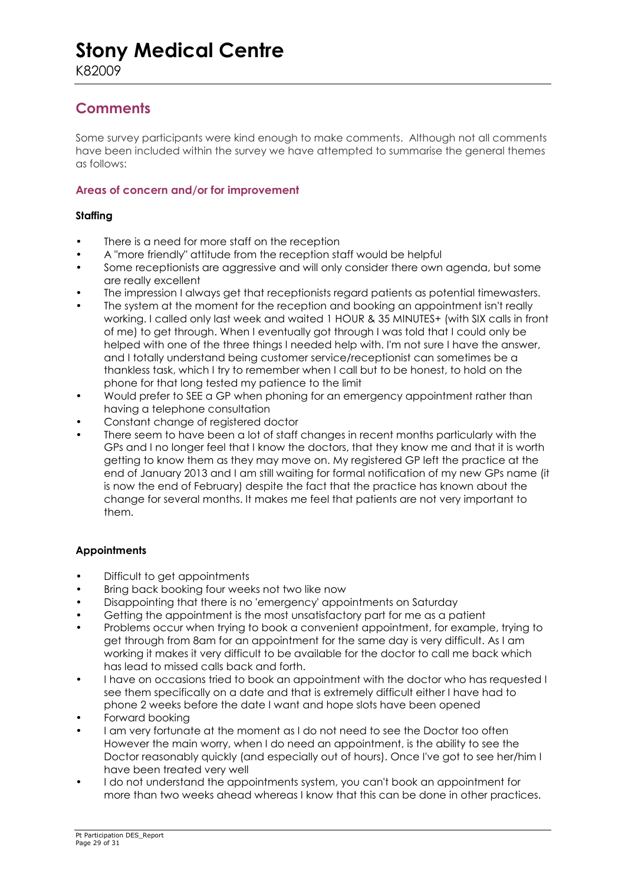### **Comments**

Some survey participants were kind enough to make comments. Although not all comments have been included within the survey we have attempted to summarise the general themes as follows:

#### **Areas of concern and/or for improvement**

#### **Staffing**

- There is a need for more staff on the reception
- A "more friendly" attitude from the reception staff would be helpful
- Some receptionists are aggressive and will only consider there own agenda, but some are really excellent
- The impression I always get that receptionists regard patients as potential timewasters.
- The system at the moment for the reception and booking an appointment isn't really working. I called only last week and waited 1 HOUR & 35 MINUTES+ (with SIX calls in front of me) to get through. When I eventually got through I was told that I could only be helped with one of the three things I needed help with. I'm not sure I have the answer, and I totally understand being customer service/receptionist can sometimes be a thankless task, which I try to remember when I call but to be honest, to hold on the phone for that long tested my patience to the limit
- Would prefer to SEE a GP when phoning for an emergency appointment rather than having a telephone consultation
- Constant change of registered doctor
- There seem to have been a lot of staff changes in recent months particularly with the GPs and I no longer feel that I know the doctors, that they know me and that it is worth getting to know them as they may move on. My registered GP left the practice at the end of January 2013 and I am still waiting for formal notification of my new GPs name (it is now the end of February) despite the fact that the practice has known about the change for several months. It makes me feel that patients are not very important to them.

#### **Appointments**

- Difficult to get appointments
- Bring back booking four weeks not two like now
- Disappointing that there is no 'emergency' appointments on Saturday
- Getting the appointment is the most unsatisfactory part for me as a patient
- Problems occur when trying to book a convenient appointment, for example, trying to get through from 8am for an appointment for the same day is very difficult. As I am working it makes it very difficult to be available for the doctor to call me back which has lead to missed calls back and forth.
- I have on occasions tried to book an appointment with the doctor who has requested I see them specifically on a date and that is extremely difficult either I have had to phone 2 weeks before the date I want and hope slots have been opened
- Forward booking
- I am very fortunate at the moment as I do not need to see the Doctor too often However the main worry, when I do need an appointment, is the ability to see the Doctor reasonably quickly (and especially out of hours). Once I've got to see her/him I have been treated very well
- I do not understand the appointments system, you can't book an appointment for more than two weeks ahead whereas I know that this can be done in other practices.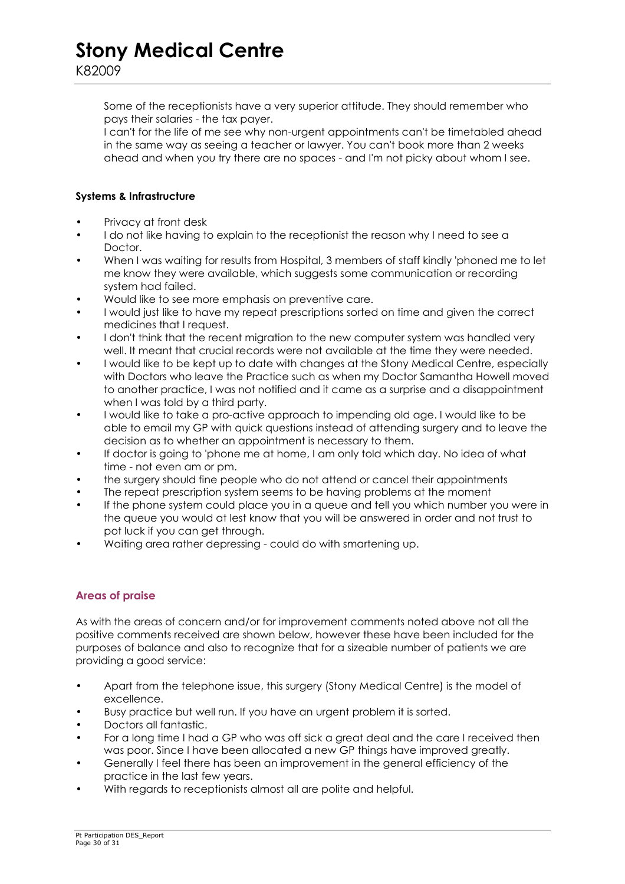Some of the receptionists have a very superior attitude. They should remember who pays their salaries - the tax payer.

I can't for the life of me see why non-urgent appointments can't be timetabled ahead in the same way as seeing a teacher or lawyer. You can't book more than 2 weeks ahead and when you try there are no spaces - and I'm not picky about whom I see.

#### **Systems & Infrastructure**

- Privacy at front desk
- I do not like having to explain to the receptionist the reason why I need to see a Doctor.
- When I was waiting for results from Hospital, 3 members of staff kindly 'phoned me to let me know they were available, which suggests some communication or recording system had failed.
- Would like to see more emphasis on preventive care.
- I would just like to have my repeat prescriptions sorted on time and given the correct medicines that I request.
- I don't think that the recent migration to the new computer system was handled very well. It meant that crucial records were not available at the time they were needed.
- I would like to be kept up to date with changes at the Stony Medical Centre, especially with Doctors who leave the Practice such as when my Doctor Samantha Howell moved to another practice, I was not notified and it came as a surprise and a disappointment when I was told by a third party.
- I would like to take a pro-active approach to impending old age. I would like to be able to email my GP with quick questions instead of attending surgery and to leave the decision as to whether an appointment is necessary to them.
- If doctor is going to 'phone me at home, I am only told which day. No idea of what time - not even am or pm.
- the surgery should fine people who do not attend or cancel their appointments
- The repeat prescription system seems to be having problems at the moment
- If the phone system could place you in a queue and tell you which number you were in the queue you would at lest know that you will be answered in order and not trust to pot luck if you can get through.
- Waiting area rather depressing could do with smartening up.

#### **Areas of praise**

As with the areas of concern and/or for improvement comments noted above not all the positive comments received are shown below, however these have been included for the purposes of balance and also to recognize that for a sizeable number of patients we are providing a good service:

- Apart from the telephone issue, this surgery (Stony Medical Centre) is the model of excellence.
- Busy practice but well run. If you have an urgent problem it is sorted.
- Doctors all fantastic.
- For a long time I had a GP who was off sick a great deal and the care I received then was poor. Since I have been allocated a new GP things have improved greatly.
- Generally I feel there has been an improvement in the general efficiency of the practice in the last few years.
- With regards to receptionists almost all are polite and helpful.